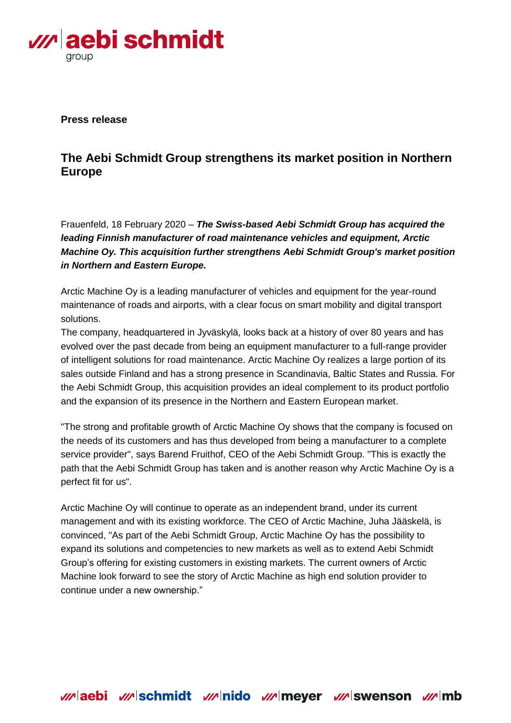

**Press release**

## **The Aebi Schmidt Group strengthens its market position in Northern Europe**

Frauenfeld, 18 February 2020 – *The Swiss-based Aebi Schmidt Group has acquired the leading Finnish manufacturer of road maintenance vehicles and equipment, Arctic Machine Oy. This acquisition further strengthens Aebi Schmidt Group's market position in Northern and Eastern Europe.*

Arctic Machine Oy is a leading manufacturer of vehicles and equipment for the year-round maintenance of roads and airports, with a clear focus on smart mobility and digital transport solutions.

The company, headquartered in Jyväskylä, looks back at a history of over 80 years and has evolved over the past decade from being an equipment manufacturer to a full-range provider of intelligent solutions for road maintenance. Arctic Machine Oy realizes a large portion of its sales outside Finland and has a strong presence in Scandinavia, Baltic States and Russia. For the Aebi Schmidt Group, this acquisition provides an ideal complement to its product portfolio and the expansion of its presence in the Northern and Eastern European market.

"The strong and profitable growth of Arctic Machine Oy shows that the company is focused on the needs of its customers and has thus developed from being a manufacturer to a complete service provider", says Barend Fruithof, CEO of the Aebi Schmidt Group. "This is exactly the path that the Aebi Schmidt Group has taken and is another reason why Arctic Machine Oy is a perfect fit for us".

Arctic Machine Oy will continue to operate as an independent brand, under its current management and with its existing workforce. The CEO of Arctic Machine, Juha Jääskelä, is convinced, "As part of the Aebi Schmidt Group, Arctic Machine Oy has the possibility to expand its solutions and competencies to new markets as well as to extend Aebi Schmidt Group's offering for existing customers in existing markets. The current owners of Arctic Machine look forward to see the story of Arctic Machine as high end solution provider to continue under a new ownership."